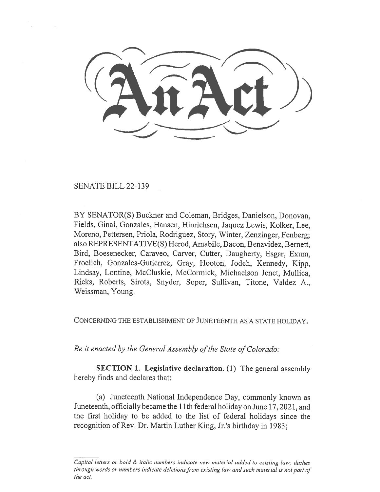SENATE BILL 22-139

BY SENATOR(S) Buckner and Coleman, Bridges, Danielson, Donovan, Fields, Ginal, Gonzales, Hansen, Hinrichsen, Jaquez Lewis, Kolker, Lee, Moreno, Pettersen, Priola, Rodriguez, Story, Winter, Zenzinger, Fenberg; also REPRESENTATIVE(S) Herod, Amabile, Bacon, Benavidez, Bernett, Bird, Boesenecker, Caraveo, Carver, Cutter, Daugherty, Esgar, Exum, Froelich, Gonzales-Gutierrez, Gray, Hooton, Jodeh, Kennedy, Kipp, Lindsay, Lontine, McCluskie, McCormick, Michaelson Jenet, Mullica, Ricks, Roberts, Sirota, Snyder, Soper, Sullivan, Titone, Valdez A., Weissman, Young.

CONCERNING THE ESTABLISHMENT OF JUNETEENTH AS A STATE HOLIDAY.

Be it enacted by the General Assembly of the State of Colorado:

SECTION 1. Legislative declaration. (1) The general assembly hereby finds and declares that:

(a) Juneteenth National Independence Day, commonly known as Juneteenth, officially became the 11th federal holiday on June 17, 2021, and the first holiday to be added to the list of federal holidays since the recognition of Rev. Dr. Martin Luther King, Jr.'s birthday in 1983;

Capital letters or bold & italic numbers indicate new material added to existing law; dashes through words or numbers indicate deletions from existing law and such material is not part of the act.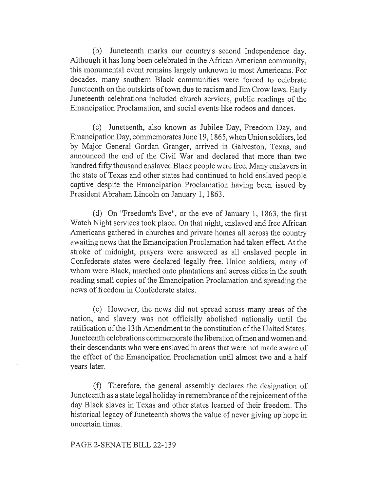(b) Juneteenth marks our country's second Independence day. Although it has long been celebrated in the African American community, this monumental event remains largely unknown to most Americans. For decades, many southern Black communities were forced to celebrate Juneteenth on the outskirts of town due to racism and Jim Crow laws. Early Juneteenth celebrations included church services, public readings of the Emancipation Proclamation, and social events like rodeos and dances.

(c) Juneteenth, also known as Jubilee Day, Freedom Day, and Emancipation Day, commemorates June 19, 1865, when Union soldiers, led by Major General Gordan Granger, arrived in Galveston, Texas, and announced the end of the Civil War and declared that more than two hundred fifty thousand enslaved Black people were free. Many enslavers in the state of Texas and other states had continued to hold enslaved people captive despite the Emancipation Proclamation having been issued by President Abraham Lincoln on January 1, 1863.

(d) On "Freedom's Eve", or the eve of January 1, 1863, the first Watch Night services took place. On that night, enslaved and free African Americans gathered in churches and private homes all across the country awaiting news that the Emancipation Proclamation had taken effect. At the stroke of midnight, prayers were answered as all enslaved people in Confederate states were declared legally free. Union soldiers, many of whom were Black, marched onto plantations and across cities in the south reading small copies of the Emancipation Proclamation and spreading the news of freedom in Confederate states.

(e) However, the news did not spread across many areas of the nation, and slavery was not officially abolished nationally until the ratification of the 13th Amendment to the constitution of the United States. Juneteenth celebrations commemorate the liberation of men and women and their descendants who were enslaved in areas that were not made aware of the effect of the Emancipation Proclamation until almost two and a half years later.

(f) Therefore, the general assembly declares the designation of Juneteenth as a state legal holiday in remembrance of the rejoicement of the day Black slaves in Texas and other states learned of their freedom. The historical legacy of Juneteenth shows the value of never giving up hope in uncertain times.

## PAGE 2-SENATE BILL 22-139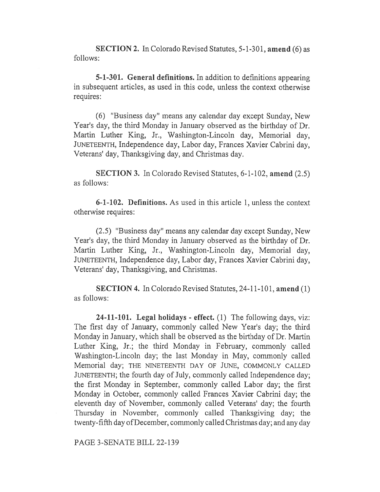SECTION 2. In Colorado Revised Statutes, 5-1-301, amend (6) as follows:

5-1-301. General definitions. In addition to definitions appearing in subsequent articles, as used in this code, unless the context otherwise requires:

(6) "Business day" means any calendar day except Sunday, New Year's day, the third Monday in January observed as the birthday of Dr. Martin Luther King, Jr., Washington-Lincoln day, Memorial day, JUNETEENTH, Independence day, Labor day, Frances Xavier Cabrini day, Veterans' day, Thanksgiving day, and Christmas day.

SECTION 3. In Colorado Revised Statutes, 6-1-102, amend (2.5) as follows:

6-1-102. Definitions. As used in this article 1, unless the context otherwise requires:

(2.5) "Business day" means any calendar day except Sunday, New Year's day, the third Monday in January observed as the birthday of Dr. Martin Luther King, Jr., Washington-Lincoln day, Memorial day, JUNETEENTH, Independence day, Labor day, Frances Xavier Cabrini day, Veterans' day, Thanksgiving, and Christmas.

SECTION 4. In Colorado Revised Statutes, 24-11-101, amend (1) as follows:

24-11-101. Legal holidays - effect.  $(1)$  The following days, viz: The first day of January, commonly called New Year's day; the third Monday in January, which shall be observed as the birthday of Dr. Martin Luther King, Jr.; the third Monday in February, commonly called Washington-Lincoln day; the last Monday in May, commonly called Memorial day; THE NINETEENTH DAY OF JUNE, COMMONLY CALLED JUNETEENTH; the fourth day of July, commonly called Independence day; the first Monday in September, commonly called Labor day; the first Monday in October, commonly called Frances Xavier Cabrini day; the eleventh day of November, commonly called Veterans' day; the fourth Thursday in November, commonly called Thanksgiving day; the twenty-fifth day of December, commonly called Christmas day; and any day

PAGE 3-SENATE BILL 22-139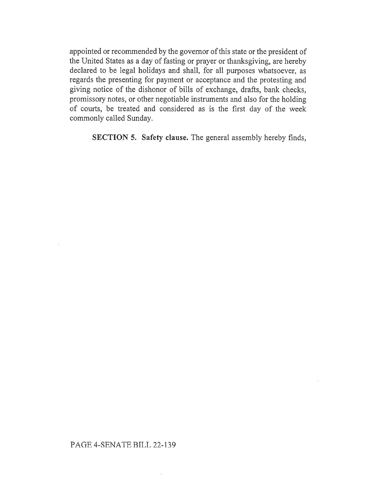appointed or recommended by the governor of this state or the president of the United States as a day of fasting or prayer or thanksgiving, are hereby declared to be legal holidays and shall, for all purposes whatsoever, as regards the presenting for payment or acceptance and the protesting and giving notice of the dishonor of bills of exchange, drafts, bank checks, promissory notes, or other negotiable instruments and also for the holding of courts, be treated and considered as is the first day of the week commonly called Sunday.

SECTION 5. Safety clause. The general assembly hereby finds,

## PAGE 4-SENATE BILL 22-139